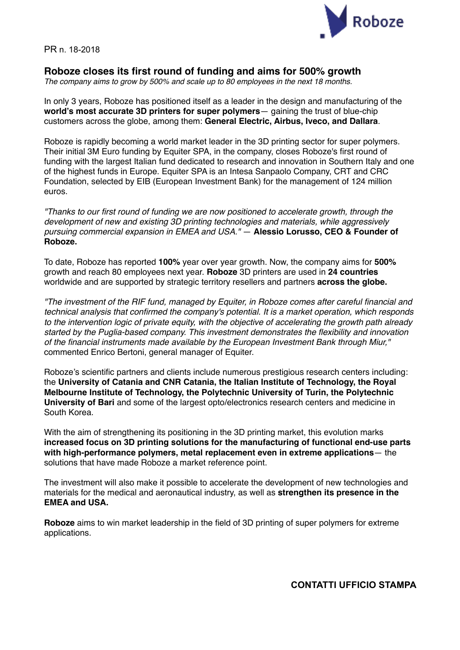

PR n. 18-2018

## **Roboze closes its first round of funding and aims for 500% growth**

*The company aims to grow by 500% and scale up to 80 employees in the next 18 months.*

In only 3 years, Roboze has positioned itself as a leader in the design and manufacturing of the **world's most accurate 3D printers for super polymers**— gaining the trust of blue-chip customers across the globe, among them: **General Electric, Airbus, Iveco, and Dallara**.

Roboze is rapidly becoming a world market leader in the 3D printing sector for super polymers. Their initial 3M Euro funding by Equiter SPA, in the company, closes Roboze's first round of funding with the largest Italian fund dedicated to research and innovation in Southern Italy and one of the highest funds in Europe. Equiter SPA is an Intesa Sanpaolo Company, CRT and CRC Foundation, selected by EIB (European Investment Bank) for the management of 124 million euros.

*"Thanks to our first round of funding we are now positioned to accelerate growth, through the development of new and existing 3D printing technologies and materials, while aggressively pursuing commercial expansion in EMEA and USA."* — **Alessio Lorusso, CEO & Founder of Roboze.**

To date, Roboze has reported **100%** year over year growth. Now, the company aims for **500%** growth and reach 80 employees next year. **Roboze** 3D printers are used in **24 countries** worldwide and are supported by strategic territory resellers and partners **across the globe.**

*"The investment of the RIF fund, managed by Equiter, in Roboze comes after careful financial and technical analysis that confirmed the company's potential. It is a market operation, which responds to the intervention logic of private equity, with the objective of accelerating the growth path already started by the Puglia-based company. This investment demonstrates the flexibility and innovation of the financial instruments made available by the European Investment Bank through Miur,"*  commented Enrico Bertoni, general manager of Equiter.

Roboze's scientific partners and clients include numerous prestigious research centers including: the **University of Catania and CNR Catania, the Italian Institute of Technology, the Royal Melbourne Institute of Technology, the Polytechnic University of Turin, the Polytechnic University of Bari** and some of the largest opto/electronics research centers and medicine in South Korea.

With the aim of strengthening its positioning in the 3D printing market, this evolution marks **increased focus on 3D printing solutions for the manufacturing of functional end-use parts with high-performance polymers, metal replacement even in extreme applications**— the solutions that have made Roboze a market reference point.

The investment will also make it possible to accelerate the development of new technologies and materials for the medical and aeronautical industry, as well as **strengthen its presence in the EMEA and USA.**

**Roboze** aims to win market leadership in the field of 3D printing of super polymers for extreme applications.

**CONTATTI UFFICIO STAMPA**